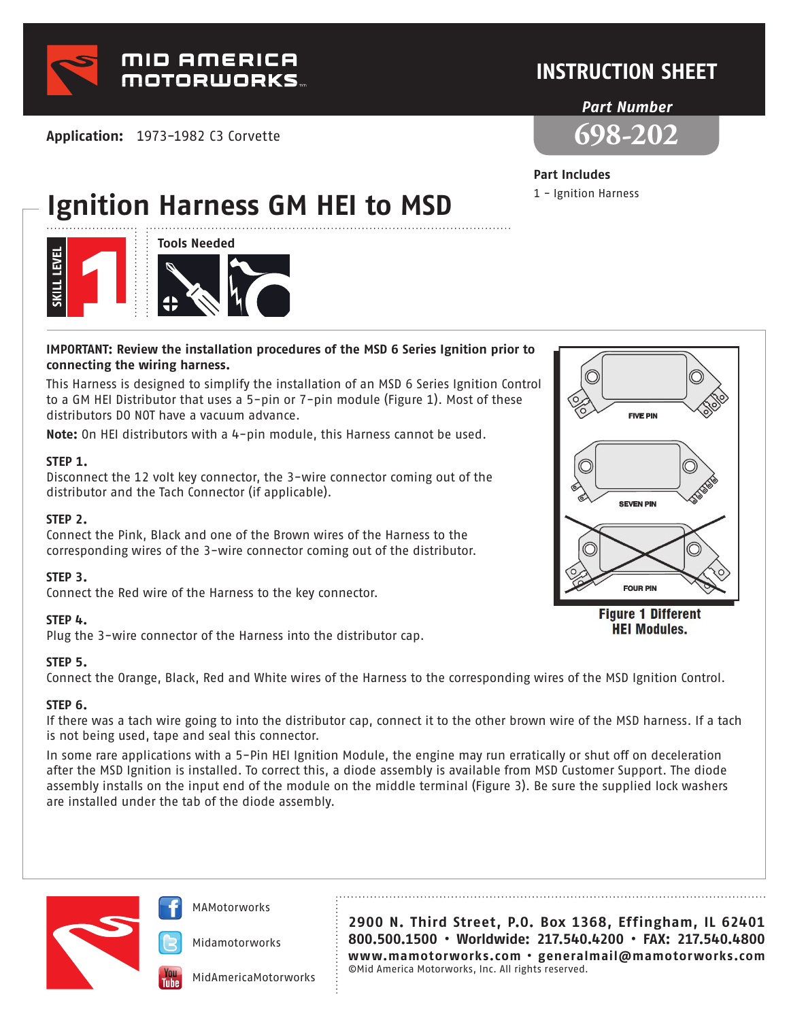

**Application:** 1973-1982 C3 Corvette

## **INSTRUCTION SHEET**

#### *Part Number*



### **Part Includes**

1 - Ignition Harness

# **Ignition Harness GM HEI to MSD**



#### **IMPORTANT: Review the installation procedures of the MSD 6 Series Ignition prior to connecting the wiring harness.**

This Harness is designed to simplify the installation of an MSD 6 Series Ignition Control to a GM HEI Distributor that uses a 5-pin or 7-pin module (Figure 1). Most of these distributors DO NOT have a vacuum advance.

**Note:** On HEI distributors with a 4-pin module, this Harness cannot be used.

#### **STEP 1.**

Disconnect the 12 volt key connector, the 3-wire connector coming out of the distributor and the Tach Connector (if applicable).

#### **STEP 2.**

Connect the Pink, Black and one of the Brown wires of the Harness to the corresponding wires of the 3-wire connector coming out of the distributor.

#### **STEP 3.**

Connect the Red wire of the Harness to the key connector.

#### **STEP 4.**

Plug the 3-wire connector of the Harness into the distributor cap.

#### **STEP 5.**

Connect the Orange, Black, Red and White wires of the Harness to the corresponding wires of the MSD Ignition Control.

#### **STEP 6.**

If there was a tach wire going to into the distributor cap, connect it to the other brown wire of the MSD harness. If a tach is not being used, tape and seal this connector.

In some rare applications with a 5-Pin HEI Ignition Module, the engine may run erratically or shut off on deceleration after the MSD Ignition is installed. To correct this, a diode assembly is available from MSD Customer Support. The diode assembly installs on the input end of the module on the middle terminal (Figure 3). Be sure the supplied lock washers are installed under the tab of the diode assembly.



MAMotorworks

Midamotorworks

MidAmericaMotorworks

**2900 N. Third Street, P.O. Box 1368, Effingham, IL 62401 800.500.1500 • Worldwide: 217.540.4200 • FAX: 217.540.4800 www.mamotorworks.com • generalmail@mamotorworks.com** ©Mid America Motorworks, Inc. All rights reserved.



**Figure 1 Different HEI Modules.**